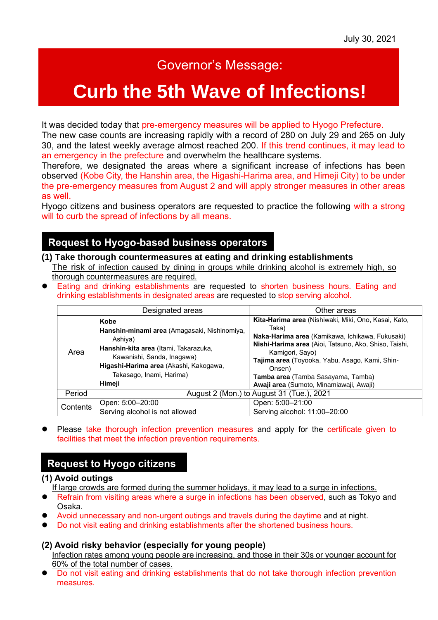## Governor's Message:

# **Curb the 5th Wave of Infections!**

It was decided today that pre-emergency measures will be applied to Hyogo Prefecture.

The new case counts are increasing rapidly with a record of 280 on July 29 and 265 on July 30, and the latest weekly average almost reached 200. If this trend continues, it may lead to an emergency in the prefecture and overwhelm the healthcare systems.

Therefore, we designated the areas where a significant increase of infections has been observed (Kobe City, the Hanshin area, the Higashi-Harima area, and Himeji City) to be under the pre-emergency measures from August 2 and will apply stronger measures in other areas as well.

Hyogo citizens and business operators are requested to practice the following with a strong will to curb the spread of infections by all means.

## **Request to Hyogo-based business operators**

- **(1) Take thorough countermeasures at eating and drinking establishments** The risk of infection caused by dining in groups while drinking alcohol is extremely high, so thorough countermeasures are required.
- ⚫ Eating and drinking establishments are requested to shorten business hours. Eating and drinking establishments in designated areas are requested to stop serving alcohol.

|          | Designated areas                                                                                                                                                                                                       | Other areas                                                                                                                                                                                                                                                                                                                               |
|----------|------------------------------------------------------------------------------------------------------------------------------------------------------------------------------------------------------------------------|-------------------------------------------------------------------------------------------------------------------------------------------------------------------------------------------------------------------------------------------------------------------------------------------------------------------------------------------|
| Area     | Kobe<br>Hanshin-minami area (Amagasaki, Nishinomiya,<br>Ashiya)<br>Hanshin-kita area (Itami, Takarazuka,<br>Kawanishi, Sanda, Inagawa)<br>Higashi-Harima area (Akashi, Kakogawa,<br>Takasago, Inami, Harima)<br>Himeji | Kita-Harima area (Nishiwaki, Miki, Ono, Kasai, Kato,<br>Taka)<br>Naka-Harima area (Kamikawa, Ichikawa, Fukusaki)<br>Nishi-Harima area (Aioi, Tatsuno, Ako, Shiso, Taishi,<br>Kamigori, Sayo)<br>Tajima area (Toyooka, Yabu, Asago, Kami, Shin-<br>Onsen)<br>Tamba area (Tamba Sasayama, Tamba)<br>Awaji area (Sumoto, Minamiawaji, Awaji) |
| Period   | August 2 (Mon.) to August 31 (Tue.), 2021                                                                                                                                                                              |                                                                                                                                                                                                                                                                                                                                           |
| Contents | Open: 5:00-20:00<br>Serving alcohol is not allowed                                                                                                                                                                     | Open: 5:00-21:00<br>Serving alcohol: 11:00-20:00                                                                                                                                                                                                                                                                                          |

⚫ Please take thorough infection prevention measures and apply for the certificate given to facilities that meet the infection prevention requirements.

### **Request to Hyogo citizens**

#### **(1) Avoid outings**

If large crowds are formed during the summer holidays, it may lead to a surge in infections.

- ⚫ Refrain from visiting areas where a surge in infections has been observed, such as Tokyo and Osaka.
- ⚫ Avoid unnecessary and non-urgent outings and travels during the daytime and at night.
- ⚫ Do not visit eating and drinking establishments after the shortened business hours.

#### **(2) Avoid risky behavior (especially for young people)**

Infection rates among young people are increasing, and those in their 30s or younger account for 60% of the total number of cases.

⚫ Do not visit eating and drinking establishments that do not take thorough infection prevention measures.